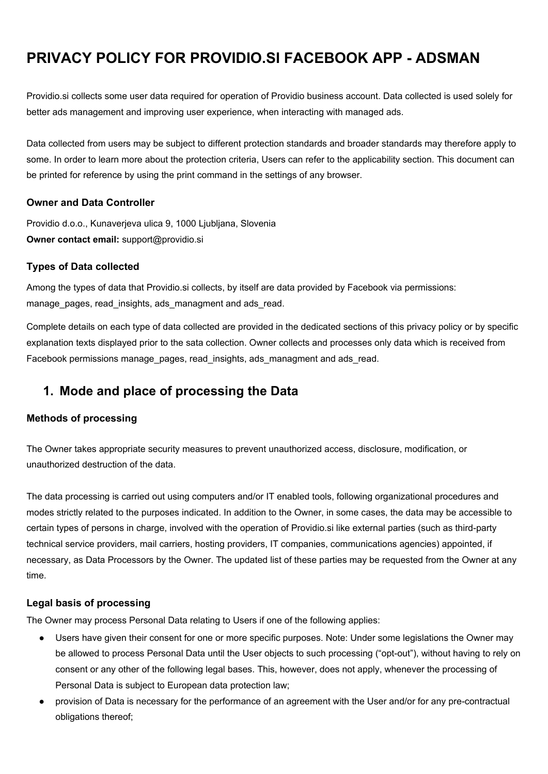# **PRIVACY POLICY FOR PROVIDIO.SI FACEBOOK APP - ADSMAN**

Providio.si collects some user data required for operation of Providio business account. Data collected is used solely for better ads management and improving user experience, when interacting with managed ads.

Data collected from users may be subject to different protection standards and broader standards may therefore apply to some. In order to learn more about the protection criteria, Users can refer to the applicability section. This document can be printed for reference by using the print command in the settings of any browser.

### **Owner and Data Controller**

Providio d.o.o., Kunaverjeva ulica 9, 1000 Ljubljana, Slovenia **Owner contact email:** support@providio.si

### **Types of Data collected**

Among the types of data that Providio.si collects, by itself are data provided by Facebook via permissions: manage\_pages, read\_insights, ads\_managment and ads\_read.

Complete details on each type of data collected are provided in the dedicated sections of this privacy policy or by specific explanation texts displayed prior to the sata collection. Owner collects and processes only data which is received from Facebook permissions manage pages, read insights, ads managment and ads read.

## **1. Mode and place of processing the Data**

### **Methods of processing**

The Owner takes appropriate security measures to prevent unauthorized access, disclosure, modification, or unauthorized destruction of the data.

The data processing is carried out using computers and/or IT enabled tools, following organizational procedures and modes strictly related to the purposes indicated. In addition to the Owner, in some cases, the data may be accessible to certain types of persons in charge, involved with the operation of Providio.si like external parties (such as third-party technical service providers, mail carriers, hosting providers, IT companies, communications agencies) appointed, if necessary, as Data Processors by the Owner. The updated list of these parties may be requested from the Owner at any time.

#### **Legal basis of processing**

The Owner may process Personal Data relating to Users if one of the following applies:

- Users have given their consent for one or more specific purposes. Note: Under some legislations the Owner may be allowed to process Personal Data until the User objects to such processing ("opt-out"), without having to rely on consent or any other of the following legal bases. This, however, does not apply, whenever the processing of Personal Data is subject to European data protection law;
- provision of Data is necessary for the performance of an agreement with the User and/or for any pre-contractual obligations thereof;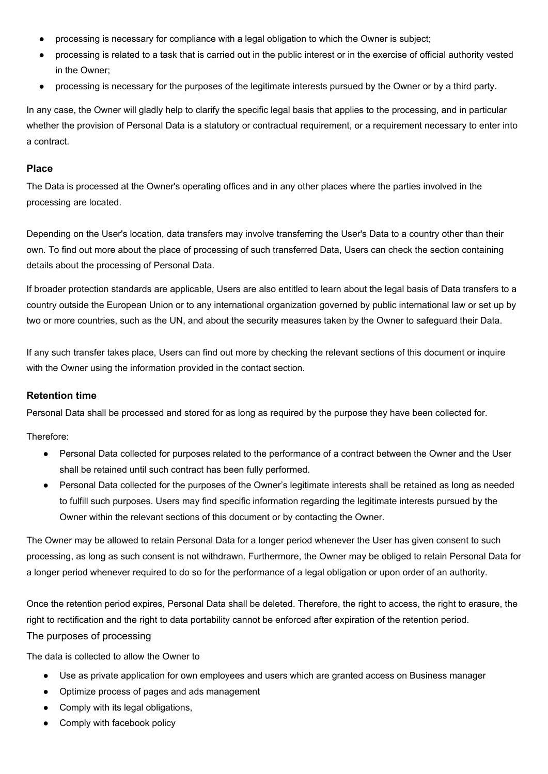- processing is necessary for compliance with a legal obligation to which the Owner is subject;
- processing is related to a task that is carried out in the public interest or in the exercise of official authority vested in the Owner;
- processing is necessary for the purposes of the legitimate interests pursued by the Owner or by a third party.

In any case, the Owner will gladly help to clarify the specific legal basis that applies to the processing, and in particular whether the provision of Personal Data is a statutory or contractual requirement, or a requirement necessary to enter into a contract.

#### **Place**

The Data is processed at the Owner's operating offices and in any other places where the parties involved in the processing are located.

Depending on the User's location, data transfers may involve transferring the User's Data to a country other than their own. To find out more about the place of processing of such transferred Data, Users can check the section containing details about the processing of Personal Data.

If broader protection standards are applicable, Users are also entitled to learn about the legal basis of Data transfers to a country outside the European Union or to any international organization governed by public international law or set up by two or more countries, such as the UN, and about the security measures taken by the Owner to safeguard their Data.

If any such transfer takes place, Users can find out more by checking the relevant sections of this document or inquire with the Owner using the information provided in the contact section.

#### **Retention time**

Personal Data shall be processed and stored for as long as required by the purpose they have been collected for.

Therefore:

- Personal Data collected for purposes related to the performance of a contract between the Owner and the User shall be retained until such contract has been fully performed.
- Personal Data collected for the purposes of the Owner's legitimate interests shall be retained as long as needed to fulfill such purposes. Users may find specific information regarding the legitimate interests pursued by the Owner within the relevant sections of this document or by contacting the Owner.

The Owner may be allowed to retain Personal Data for a longer period whenever the User has given consent to such processing, as long as such consent is not withdrawn. Furthermore, the Owner may be obliged to retain Personal Data for a longer period whenever required to do so for the performance of a legal obligation or upon order of an authority.

Once the retention period expires, Personal Data shall be deleted. Therefore, the right to access, the right to erasure, the right to rectification and the right to data portability cannot be enforced after expiration of the retention period. The purposes of processing

The data is collected to allow the Owner to

- Use as private application for own employees and users which are granted access on Business manager
- Optimize process of pages and ads management
- Comply with its legal obligations,
- Comply with facebook policy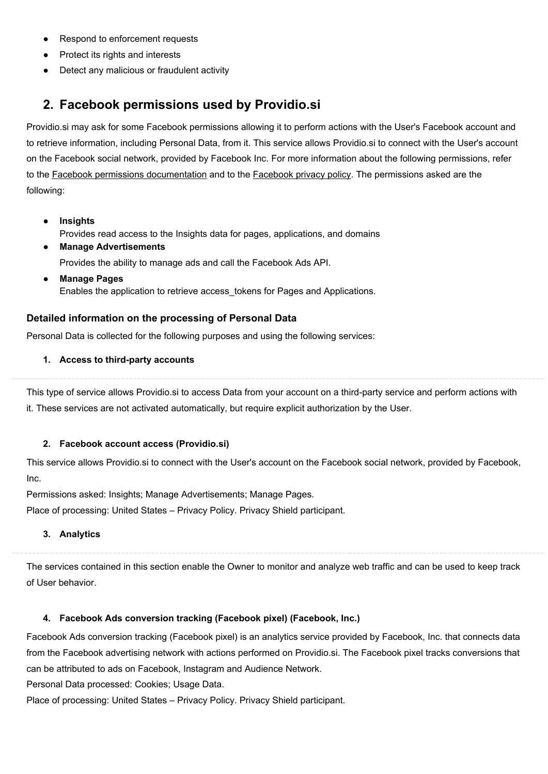- Respond to enforcement requests
- Protect its rights and interests
- Detect any malicious or fraudulent activity

## **2. Facebook permissions used by Providio.si**

Providio.si may ask for some Facebook permissions allowing it to perform actions with the User's Facebook account and to retrieve information, including Personal Data, from it. This service allows Providio.si to connect with the User's account on the Facebook social network, provided by Facebook Inc. For more information about the following permissions, refer to the Facebook permissions [documentation](https://developers.facebook.com/docs/facebook-login/permissions) and to the [Facebook](https://www.facebook.com/about/privacy/) privacy policy. The permissions asked are the following:

- **● Insights** Provides read access to the Insights data for pages, applications, and domains
- **● Manage Advertisements** Provides the ability to manage ads and call the Facebook Ads API.
- **● Manage Pages** Enables the application to retrieve access\_tokens for Pages and Applications.

### **Detailed information on the processing of Personal Data**

Personal Data is collected for the following purposes and using the following services:

#### **1. Access to third-party accounts**

This type of service allows Providio.si to access Data from your account on a third-party service and perform actions with it. These services are not activated automatically, but require explicit authorization by the User.

#### **2. Facebook account access (Providio.si)**

This service allows Providio.si to connect with the User's account on the Facebook social network, provided by Facebook, Inc.

Permissions asked: Insights; Manage Advertisements; Manage Pages.

Place of processing: United States – [Privacy](https://www.facebook.com/policy.php) Policy. Privacy Shield participant.

#### **3. Analytics**

The services contained in this section enable the Owner to monitor and analyze web traffic and can be used to keep track of User behavior.

#### **4. Facebook Ads conversion tracking (Facebook pixel) (Facebook, Inc.)**

Facebook Ads conversion tracking (Facebook pixel) is an analytics service provided by Facebook, Inc. that connects data from the Facebook advertising network with actions performed on Providio.si. The Facebook pixel tracks conversions that can be attributed to ads on Facebook, Instagram and Audience Network.

Personal Data processed: Cookies; Usage Data.

Place of processing: United States – [Privacy](https://www.facebook.com/about/privacy/) Policy. Privacy Shield participant.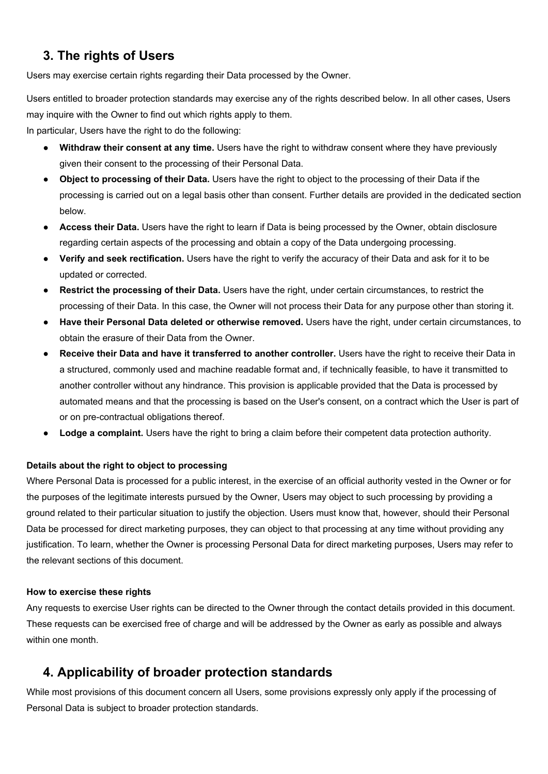## **3. The rights of Users**

Users may exercise certain rights regarding their Data processed by the Owner.

Users entitled to broader protection standards may exercise any of the rights described below. In all other cases, Users may inquire with the Owner to find out which rights apply to them.

In particular, Users have the right to do the following:

- **Withdraw their consent at any time.** Users have the right to withdraw consent where they have previously given their consent to the processing of their Personal Data.
- **Object to processing of their Data.** Users have the right to object to the processing of their Data if the processing is carried out on a legal basis other than consent. Further details are provided in the dedicated section below.
- **Access their Data.** Users have the right to learn if Data is being processed by the Owner, obtain disclosure regarding certain aspects of the processing and obtain a copy of the Data undergoing processing.
- **Verify and seek rectification.** Users have the right to verify the accuracy of their Data and ask for it to be updated or corrected.
- **Restrict the processing of their Data.** Users have the right, under certain circumstances, to restrict the processing of their Data. In this case, the Owner will not process their Data for any purpose other than storing it.
- **Have their Personal Data deleted or otherwise removed.** Users have the right, under certain circumstances, to obtain the erasure of their Data from the Owner.
- **Receive their Data and have it transferred to another controller.** Users have the right to receive their Data in a structured, commonly used and machine readable format and, if technically feasible, to have it transmitted to another controller without any hindrance. This provision is applicable provided that the Data is processed by automated means and that the processing is based on the User's consent, on a contract which the User is part of or on pre-contractual obligations thereof.
- **Lodge a complaint.** Users have the right to bring a claim before their competent data protection authority.

#### **Details about the right to object to processing**

Where Personal Data is processed for a public interest, in the exercise of an official authority vested in the Owner or for the purposes of the legitimate interests pursued by the Owner, Users may object to such processing by providing a ground related to their particular situation to justify the objection. Users must know that, however, should their Personal Data be processed for direct marketing purposes, they can object to that processing at any time without providing any justification. To learn, whether the Owner is processing Personal Data for direct marketing purposes, Users may refer to the relevant sections of this document.

#### **How to exercise these rights**

Any requests to exercise User rights can be directed to the Owner through the contact details provided in this document. These requests can be exercised free of charge and will be addressed by the Owner as early as possible and always within one month.

## **4. Applicability of broader protection standards**

While most provisions of this document concern all Users, some provisions expressly only apply if the processing of Personal Data is subject to broader protection standards.